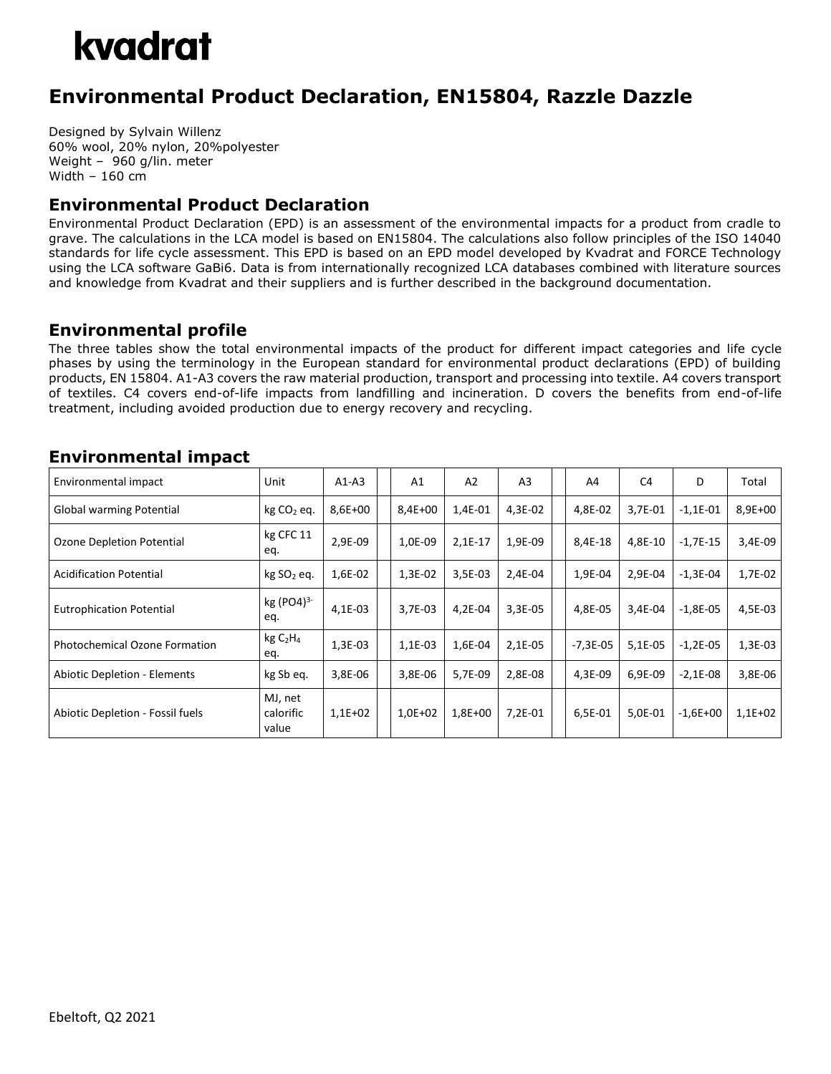## kvadrat

### **Environmental Product Declaration, EN15804, Razzle Dazzle**

Designed by Sylvain Willenz 60% wool, 20% nylon, 20%polyester Weight – 960 g/lin. meter Width – 160 cm

#### **Environmental Product Declaration**

Environmental Product Declaration (EPD) is an assessment of the environmental impacts for a product from cradle to grave. The calculations in the LCA model is based on EN15804. The calculations also follow principles of the ISO 14040 standards for life cycle assessment. This EPD is based on an EPD model developed by Kvadrat and FORCE Technology using the LCA software GaBi6. Data is from internationally recognized LCA databases combined with literature sources and knowledge from Kvadrat and their suppliers and is further described in the background documentation.

#### **Environmental profile**

The three tables show the total environmental impacts of the product for different impact categories and life cycle phases by using the terminology in the European standard for environmental product declarations (EPD) of building products, EN 15804. A1-A3 covers the raw material production, transport and processing into textile. A4 covers transport of textiles. C4 covers end-of-life impacts from landfilling and incineration. D covers the benefits from end-of-life treatment, including avoided production due to energy recovery and recycling.

#### **Environmental impact**

| Environmental impact                 | Unit                                   | $A1-A3$   | A1        | A2        | A <sub>3</sub> | A4         | C <sub>4</sub> | D          | Total     |
|--------------------------------------|----------------------------------------|-----------|-----------|-----------|----------------|------------|----------------|------------|-----------|
| <b>Global warming Potential</b>      | $kg CO2$ eq.                           | 8,6E+00   | $8,4E+00$ | 1,4E-01   | 4,3E-02        | 4,8E-02    | 3,7E-01        | $-1,1E-01$ | 8,9E+00   |
| Ozone Depletion Potential            | kg CFC 11<br>eq.                       | 2,9E-09   | 1,0E-09   | $2,1E-17$ | 1,9E-09        | 8,4E-18    | 4,8E-10        | $-1,7E-15$ | 3,4E-09   |
| <b>Acidification Potential</b>       | kg SO <sub>2</sub> eq.                 | 1,6E-02   | 1,3E-02   | 3,5E-03   | 2,4E-04        | 1,9E-04    | 2,9E-04        | $-1,3E-04$ | 1,7E-02   |
| <b>Eutrophication Potential</b>      | kg (PO4) <sup>3-</sup><br>eq.          | $4,1E-03$ | 3,7E-03   | 4,2E-04   | 3,3E-05        | 4,8E-05    | 3,4E-04        | $-1.8E-05$ | 4,5E-03   |
| <b>Photochemical Ozone Formation</b> | kgC <sub>2</sub> H <sub>4</sub><br>eq. | 1,3E-03   | 1,1E-03   | 1,6E-04   | 2,1E-05        | $-7,3E-05$ | 5,1E-05        | $-1,2E-05$ | $1,3E-03$ |
| <b>Abiotic Depletion - Elements</b>  | kg Sb eq.                              | 3,8E-06   | 3,8E-06   | 5.7E-09   | 2,8E-08        | 4,3E-09    | 6.9E-09        | $-2,1E-08$ | 3,8E-06   |
| Abiotic Depletion - Fossil fuels     | MJ, net<br>calorific<br>value          | $1,1E+02$ | $1,0E+02$ | $1,8E+00$ | 7,2E-01        | 6,5E-01    | 5,0E-01        | $-1,6E+00$ | $1,1E+02$ |